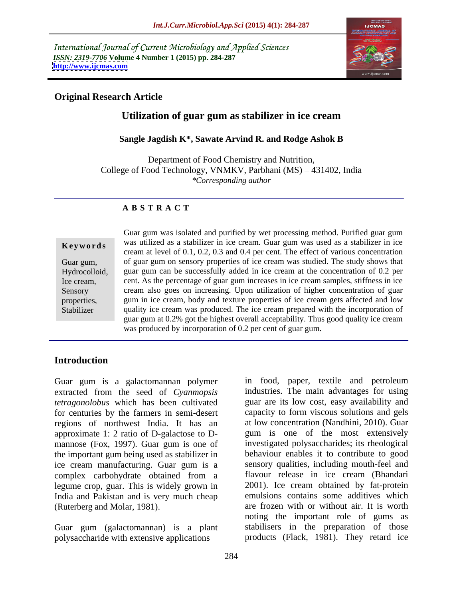International Journal of Current Microbiology and Applied Sciences *ISSN: 2319-7706* **Volume 4 Number 1 (2015) pp. 284-287 <http://www.ijcmas.com>**



## **Original Research Article**

## **Utilization of guar gum as stabilizer in ice cream**

## **Sangle Jagdish K\*, Sawate Arvind R. and Rodge Ashok B**

Department of Food Chemistry and Nutrition, College of Food Technology, VNMKV, Parbhani (MS) – 431402, India *\*Corresponding author*

## **A B S T R A C T**

Stabilizer

Guar gum was isolated and purified by wet processing method. Purified guar gum was utilized as a stabilizer in ice cream. Guar gum was used as a stabilizer in ice **Ke ywo rds** cream at level of 0.1,0.2, 0.3 and 0.4 per cent. The effect of various concentration Guar gum, of guar gum on sensory properties of ice cream was studied. The study shows that Hydrocolloid, guar gum can be successfully added in ice cream at the concentration of 0.2 per Ice cream, cent. As the percentage of guar gum increases in ice cream samples, stiffness in ice Sensory cream also goes on increasing. Upon utilization of higher concentration of guar gum in ice cream, body and texture properties of ice cream gets affected and low properties, quality ice cream was produced. The ice cream prepared with the incorporation of guar gum at 0.2% got the highest overall acceptability. Thus good quality ice cream was produced by incorporation of 0.2 per cent of guar gum.

## **Introduction**

extracted from the seed of *Cyanmopsis tetragonolobus* which has been cultivated for centuries by the farmers in semi-desert regions of northwest India. It has an approximate 1: 2 ratio of D-galactose to D mannose (Fox, 1997). Guar gum is one of the important gum being used as stabilizer in ice cream manufacturing. Guar gum is a legume crop, guar. This is widely grown in India and Pakistan and is very much cheap

Guar gum (galactomannan) is a plant polysaccharide with extensive applications

Guar gum is a galactomannan polymer in food, paper, textile and petroleum complex carbohydrate obtained from a (Ruterberg and Molar, 1981). are frozen with or without air. It is worth in food, paper, textile and petroleum industries. The main advantages for using guar are its low cost, easy availability and capacity to form viscous solutions and gels at low concentration (Nandhini, 2010). Guar gum is one of the most extensively investigated polysaccharides; its rheological behaviour enables it to contribute to good sensory qualities, including mouth-feel and flavour release in ice cream (Bhandari 2001). Ice cream obtained by fat-protein emulsions contains some additives which noting the important role of gums as stabilisers in the preparation of those products (Flack, 1981). They retard ice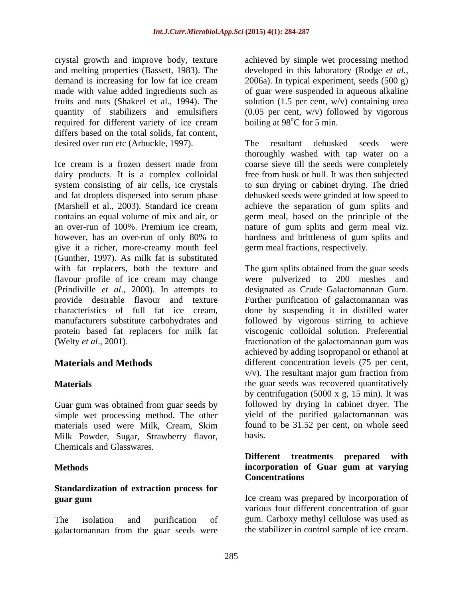crystal growth and improve body, texture achieved by simple wet processing method and melting properties (Bassett, 1983). The developed in this laboratory (Rodge *et al.,* demand is increasing for low fat ice cream 2006a). In typical experiment, seeds (500 g) made with value added ingredients such as of guar were suspended in aqueous alkaline fruits and nuts (Shakeel et al., 1994). The solution (1.5 per cent, w/v) containing urea quantity of stabilizers and emulsifiers (0.05 per cent, w/v) followed by vigorous required for different variety of ice cream differs based on the total solids, fat content, desired over run etc (Arbuckle, 1997). The resultant dehusked seeds were

Ice cream is a frozen dessert made from coarse sieve till the seeds were completely dairy products. It is a complex colloidal free from husk or hull. It was then subjected system consisting of air cells, ice crystals and fat droplets dispersed into serum phase dehusked seeds were grinded at low speed to (Marshell et al., 2003). Standard ice cream achieve the separation of gum splits and contains an equal volume of mix and air, or germ meal, based on the principle of the an over-run of 100%. Premium ice cream, however, has an over-run of only 80% to hardness and brittleness of gum splits and give it a richer, more-creamy mouth feel (Gunther, 1997). As milk fat is substituted with fat replacers, both the texture and The gum splits obtained from the guar seeds flavour profile of ice cream may change were pulverized to 200 meshes and (Prindiville *et al*., 2000). In attempts to provide desirable flavour and texture Further purification of galactomannan was characteristics of full fat ice cream, done by suspending it in distilled water manufacturers substitute carbohydrates and followed by vigorous stirring to achieve protein based fat replacers for milk fat viscogenic colloidal solution. Preferential

simple wet processing method. The other materials used were Milk, Cream, Skim Milk Powder, Sugar, Strawberry flavor, Chemicals and Glasswares.

# **Standardization of extraction process for**

galactomannan from the guar seeds were

boiling at  $98^{\circ}$ C for 5 min.

The resultant dehusked seeds were thoroughly washed with tap water on a to sun drying or cabinet drying. The dried nature of gum splits and germ meal viz.<br>hardness and brittleness of gum splits and germ meal fractions, respectively.

(Welty *et al*., 2001). fractionation of the galactomannan gum was **Materials and Methods** different concentration levels (75 per cent, **Materials Materials Example 2018 Materials EXECUTE:** the guar seeds was recovered quantitatively Guar gum was obtained from guar seeds by followed by drying in cabinet dryer. The designated as Crude Galactomannan Gum. achieved by adding isopropanol or ethanol at v/v). The resultant major gum fraction from by centrifugation  $(5000 \times g, 15 \text{ min})$ . It was yield of the purified galactomannan was found to be 31.52 per cent, on whole seed basis.

### **Methods Methods Methods Methods Methods Methods Methods Methods Methods Methods Methods Methods Methods Methods Methods Methods Methods Methods Methods Methods Methods Methods M Different treatments prepared with incorporation of Guar gum at varying Concentrations**

**guar gum** and the cream was prepared by incorporation of The isolation and purification of gum. Carboxy methyl cellulose was used as Ice cream was prepared by incorporation of various four different concentration of guar the stabilizer in control sample of ice cream.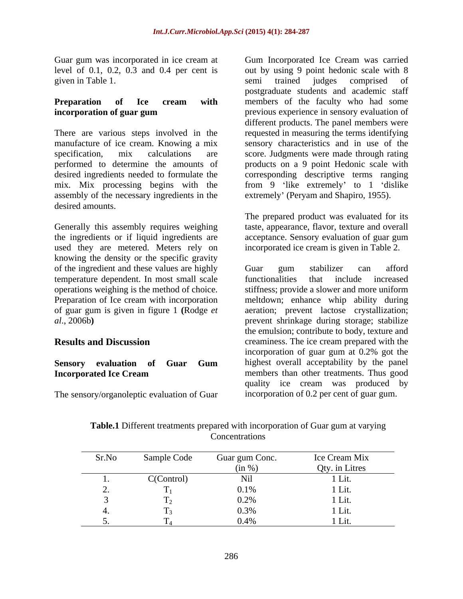given in Table 1. Some semi trained judges comprised of

There are various steps involved in the requested in measuring the terms identifying manufacture of ice cream. Knowing a mix sensory characteristics and in use of the specification, mix calculations are score. Judgments were made through rating performed to determine the amounts of products on a 9 point Hedonic scale with desired ingredients needed to formulate the corresponding descriptive terms ranging mix. Mix processing begins with the from 9 'like extremely' to 1 'dislike assembly of the necessary ingredients in the desired amounts.

Generally this assembly requires weighing taste, appearance, flavor, texture and overall the ingredients or if liquid ingredients are acceptance. Sensory evaluation of guar gum used they are metered. Meters rely on knowing the density or the specific gravity of the ingredient and these values are highly Guar gum stabilizer can afford temperature dependent. In most small scale functionalities that include increased operations weighing is the method of choice.

The sensory/organoleptic evaluation of Guar

Guar gum was incorporated in ice cream at Gum Incorporated Ice Cream was carried level of 0.1, 0.2, 0.3 and 0.4 per cent is out by using 9 point hedonic scalewith 8 **Preparation of Ice cream with incorporation of guar gum previous experience in sensory evaluation of** semi trained judges comprised of postgraduate students and academic staff members of the faculty who had some different products. The panel members were extremely' (Peryam and Shapiro, 1955).

> The prepared product was evaluated for its incorporated ice cream is given in Table 2.

Preparation of Ice cream with incorporation meltdown; enhance whip ability during of guar gum is given in figure 1 **(**Rodge *et*  aeration; prevent lactose crystallization; *al*., 2006b**)** prevent shrinkage during storage; stabilize **Results and Discussion** creaminess. The ice cream prepared with the **Sensory evaluation of Guar Gum Incorporated Ice Cream** members than other treatments. Thus good Guar gum stabilizer can afford functionalities that include increased stiffness; provide a slower and more uniform the emulsion; contribute to body, texture and incorporation of guar gum at 0.2% got the highest overall acceptability by the panel members than other treatments. Thus good quality ice cream was produced by incorporation of 0.2 per cent of guar gum.

| Sr.No | Sample Code | Guar gum Conc.      | Ice Cream Mix                |
|-------|-------------|---------------------|------------------------------|
|       |             |                     | Qty. in Litres               |
|       | C(Control)  |                     | $-1\,\mathrm{T}$ 4<br>. Lit. |
|       |             | $0.1\%$             | L LIL.                       |
|       |             | $J \cdot \angle$ /( | .                            |
|       |             | $\sim$              | LIL.                         |
|       |             | $U.4\%$             | T LIL.                       |

**Table.1** Different treatments prepared with incorporation of Guar gum at varying **Concentrations**